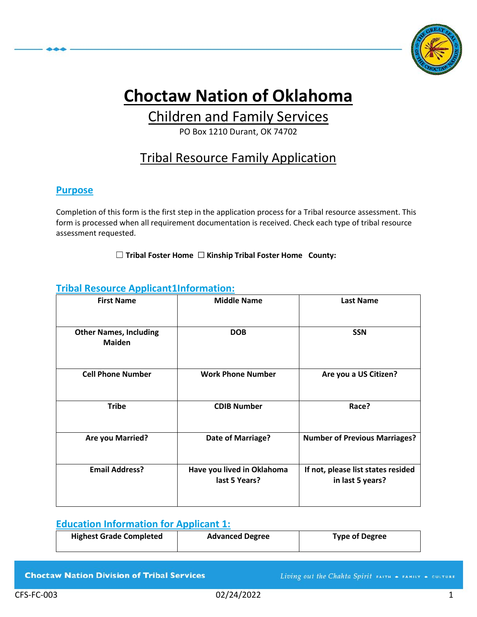

# **Choctaw Nation of Oklahoma**

# Children and Family Services

PO Box 1210 Durant, OK 74702

# Tribal Resource Family Application

#### **Purpose**

Completion of this form is the first step in the application process for a Tribal resource assessment. This form is processed when all requirement documentation is received. Check each type of tribal resource assessment requested.

☐ **Tribal Foster Home** ☐ **Kinship Tribal Foster Home County:**

#### **Tribal Resource Applicant1Information:**

| <b>First Name</b>                              | <b>Middle Name</b>                          | <b>Last Name</b>                                       |
|------------------------------------------------|---------------------------------------------|--------------------------------------------------------|
| <b>Other Names, Including</b><br><b>Maiden</b> | <b>DOB</b>                                  | <b>SSN</b>                                             |
| <b>Cell Phone Number</b>                       | <b>Work Phone Number</b>                    | Are you a US Citizen?                                  |
| <b>Tribe</b>                                   | <b>CDIB Number</b>                          | Race?                                                  |
| <b>Are you Married?</b>                        | Date of Marriage?                           | <b>Number of Previous Marriages?</b>                   |
| <b>Email Address?</b>                          | Have you lived in Oklahoma<br>last 5 Years? | If not, please list states resided<br>in last 5 years? |

#### **Education Information for Applicant 1:**

| <b>Highest Grade Completed</b> | <b>Advanced Degree</b> | <b>Type of Degree</b> |
|--------------------------------|------------------------|-----------------------|
|                                |                        |                       |

**Choctaw Nation Division of Tribal Services** 

Living out the Chahta Spirit FAITH . FAMILY . CULTURE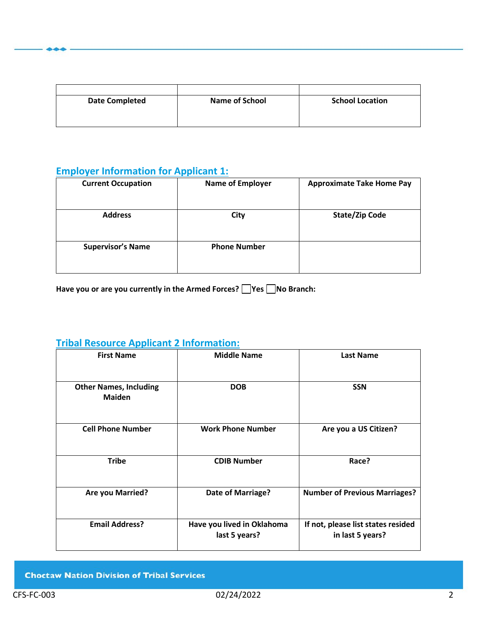| <b>Date Completed</b> | <b>Name of School</b> | <b>School Location</b> |
|-----------------------|-----------------------|------------------------|
|                       |                       |                        |
|                       |                       |                        |

## **Employer Information for Applicant 1:**

| <b>Current Occupation</b> | <b>Name of Employer</b> | <b>Approximate Take Home Pay</b> |
|---------------------------|-------------------------|----------------------------------|
| <b>Address</b>            | City                    | <b>State/Zip Code</b>            |
| <b>Supervisor's Name</b>  | <b>Phone Number</b>     |                                  |

Have you or are you currently in the Armed Forces? **No Branch:** 

## **Tribal Resource Applicant 2 Information:**

| <b>First Name</b>                              | <b>Middle Name</b>                          | <b>Last Name</b>                                       |
|------------------------------------------------|---------------------------------------------|--------------------------------------------------------|
| <b>Other Names, Including</b><br><b>Maiden</b> | <b>DOB</b>                                  | <b>SSN</b>                                             |
| <b>Cell Phone Number</b>                       | <b>Work Phone Number</b>                    | Are you a US Citizen?                                  |
| <b>Tribe</b>                                   | <b>CDIB Number</b>                          | Race?                                                  |
| <b>Are you Married?</b>                        | Date of Marriage?                           | <b>Number of Previous Marriages?</b>                   |
| <b>Email Address?</b>                          | Have you lived in Oklahoma<br>last 5 years? | If not, please list states resided<br>in last 5 years? |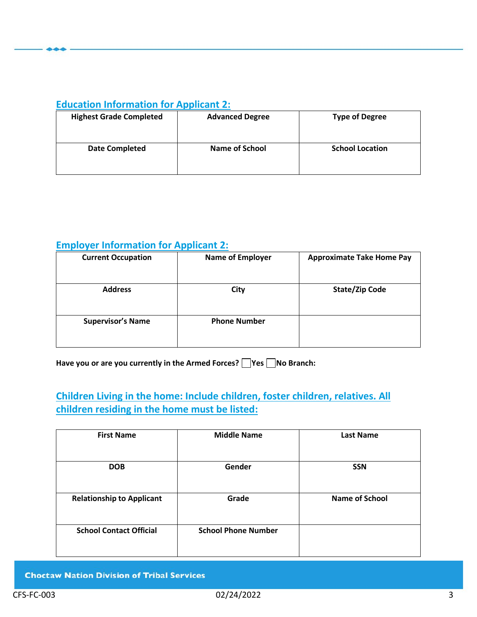#### **Education Information for Applicant 2:**

| <b>Highest Grade Completed</b> | <b>Advanced Degree</b> | <b>Type of Degree</b>  |
|--------------------------------|------------------------|------------------------|
|                                |                        |                        |
| <b>Date Completed</b>          | <b>Name of School</b>  | <b>School Location</b> |
|                                |                        |                        |

## **Employer Information for Applicant 2:**

| <b>Current Occupation</b> | <b>Name of Employer</b> | <b>Approximate Take Home Pay</b> |
|---------------------------|-------------------------|----------------------------------|
| <b>Address</b>            | City                    | <b>State/Zip Code</b>            |
| <b>Supervisor's Name</b>  | <b>Phone Number</b>     |                                  |

Have you or are you currently in the Armed Forces? **Wes No Branch:** 

## **Children Living in the home: Include children, foster children, relatives. All children residing in the home must be listed:**

| <b>First Name</b>                | <b>Middle Name</b>         | <b>Last Name</b>      |
|----------------------------------|----------------------------|-----------------------|
| <b>DOB</b>                       | Gender                     | <b>SSN</b>            |
| <b>Relationship to Applicant</b> | Grade                      | <b>Name of School</b> |
| <b>School Contact Official</b>   | <b>School Phone Number</b> |                       |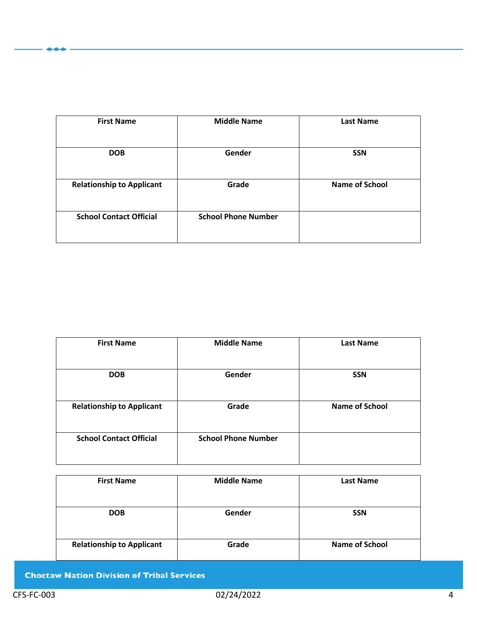| <b>First Name</b>                | <b>Middle Name</b>         | <b>Last Name</b>      |
|----------------------------------|----------------------------|-----------------------|
| <b>DOB</b>                       | Gender                     | <b>SSN</b>            |
| <b>Relationship to Applicant</b> | Grade                      | <b>Name of School</b> |
| <b>School Contact Official</b>   | <b>School Phone Number</b> |                       |
|                                  |                            |                       |

| <b>First Name</b>                | <b>Middle Name</b>         | <b>Last Name</b>      |
|----------------------------------|----------------------------|-----------------------|
| <b>DOB</b>                       | Gender                     | <b>SSN</b>            |
| <b>Relationship to Applicant</b> | Grade                      | <b>Name of School</b> |
| <b>School Contact Official</b>   | <b>School Phone Number</b> |                       |

| <b>First Name</b>                | <b>Middle Name</b> | <b>Last Name</b>      |
|----------------------------------|--------------------|-----------------------|
| <b>DOB</b>                       | Gender             | <b>SSN</b>            |
| <b>Relationship to Applicant</b> | Grade              | <b>Name of School</b> |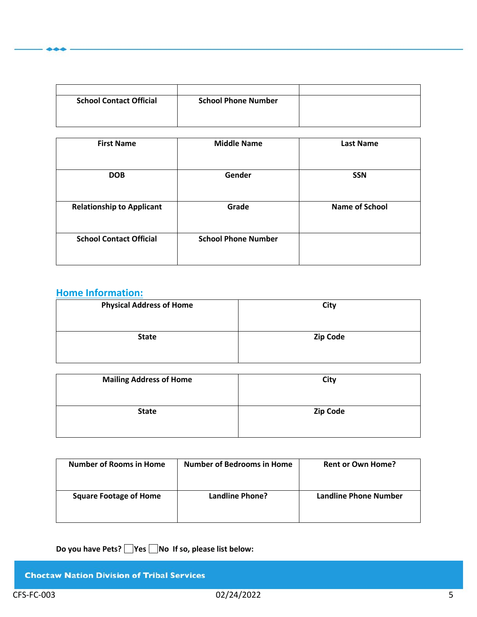| <b>School Contact Official</b> | <b>School Phone Number</b> |  |
|--------------------------------|----------------------------|--|
|                                |                            |  |
|                                |                            |  |

| <b>First Name</b>                | <b>Middle Name</b>         | <b>Last Name</b>      |
|----------------------------------|----------------------------|-----------------------|
| <b>DOB</b>                       | Gender                     | <b>SSN</b>            |
| <b>Relationship to Applicant</b> | Grade                      | <b>Name of School</b> |
| <b>School Contact Official</b>   | <b>School Phone Number</b> |                       |

## **Home Information:**

| <b>Physical Address of Home</b> | City            |
|---------------------------------|-----------------|
| <b>State</b>                    | <b>Zip Code</b> |

| <b>Mailing Address of Home</b> | City            |
|--------------------------------|-----------------|
| <b>State</b>                   | <b>Zip Code</b> |

| <b>Number of Rooms in Home</b> | <b>Number of Bedrooms in Home</b> | <b>Rent or Own Home?</b> |
|--------------------------------|-----------------------------------|--------------------------|
| <b>Square Footage of Home</b>  | Landline Phone?                   | Landline Phone Number    |

Do you have Pets? **No If so, please list below:**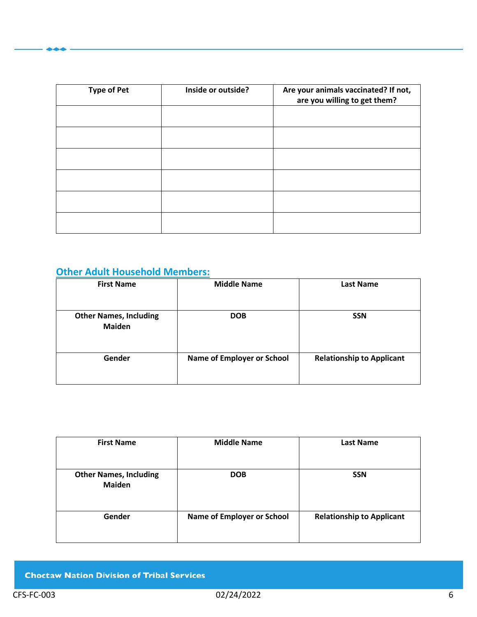| <b>Type of Pet</b> | Inside or outside? | Are your animals vaccinated? If not,<br>are you willing to get them? |
|--------------------|--------------------|----------------------------------------------------------------------|
|                    |                    |                                                                      |
|                    |                    |                                                                      |
|                    |                    |                                                                      |
|                    |                    |                                                                      |
|                    |                    |                                                                      |
|                    |                    |                                                                      |

## **Other Adult Household Members:**

| <b>First Name</b>                              | <b>Middle Name</b>                | <b>Last Name</b>                 |
|------------------------------------------------|-----------------------------------|----------------------------------|
| <b>Other Names, Including</b><br><b>Maiden</b> | <b>DOB</b>                        | <b>SSN</b>                       |
| Gender                                         | <b>Name of Employer or School</b> | <b>Relationship to Applicant</b> |

| <b>First Name</b>                              | <b>Middle Name</b>                | <b>Last Name</b>                 |
|------------------------------------------------|-----------------------------------|----------------------------------|
| <b>Other Names, Including</b><br><b>Maiden</b> | <b>DOB</b>                        | <b>SSN</b>                       |
| Gender                                         | <b>Name of Employer or School</b> | <b>Relationship to Applicant</b> |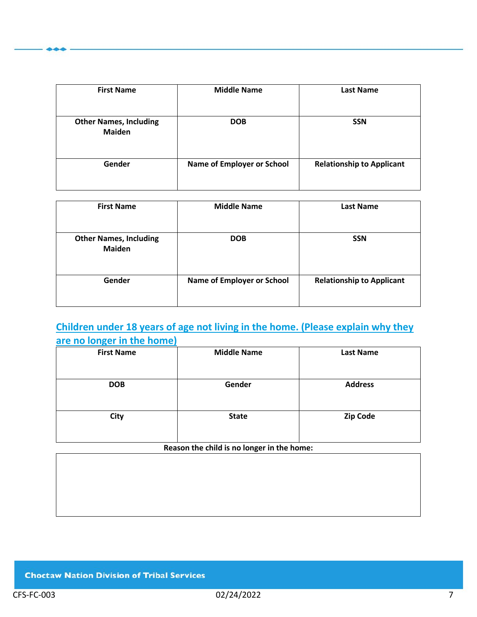| <b>First Name</b>                              | <b>Middle Name</b>                | <b>Last Name</b>                 |
|------------------------------------------------|-----------------------------------|----------------------------------|
| <b>Other Names, Including</b><br><b>Maiden</b> | <b>DOB</b>                        | <b>SSN</b>                       |
| Gender                                         | <b>Name of Employer or School</b> | <b>Relationship to Applicant</b> |

| <b>First Name</b>                              | <b>Middle Name</b>                | <b>Last Name</b>                 |
|------------------------------------------------|-----------------------------------|----------------------------------|
| <b>Other Names, Including</b><br><b>Maiden</b> | <b>DOB</b>                        | <b>SSN</b>                       |
| Gender                                         | <b>Name of Employer or School</b> | <b>Relationship to Applicant</b> |

## **Children under 18 years of age not living in the home. (Please explain why they are no longer in the home)**

| <b>First Name</b> | <b>Middle Name</b> | <b>Last Name</b> |
|-------------------|--------------------|------------------|
|                   |                    |                  |
| <b>DOB</b>        | Gender             | <b>Address</b>   |
|                   |                    |                  |
| City              | <b>State</b>       | <b>Zip Code</b>  |
|                   |                    |                  |
|                   |                    |                  |

**Reason the child is no longer in the home:**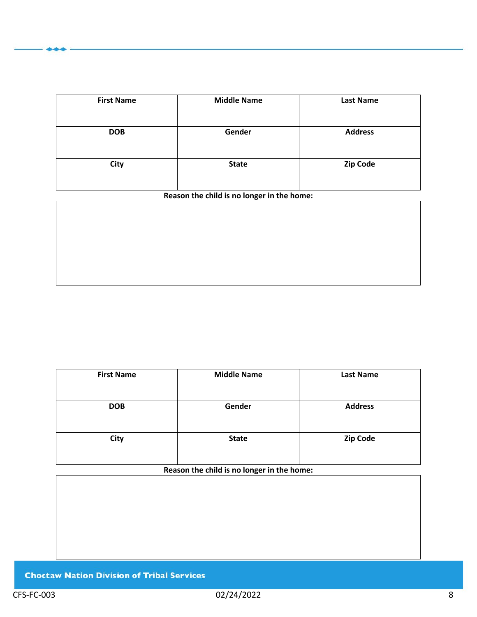| <b>First Name</b> | <b>Middle Name</b> | <b>Last Name</b> |
|-------------------|--------------------|------------------|
| <b>DOB</b>        | Gender             | <b>Address</b>   |
| City              | <b>State</b>       | <b>Zip Code</b>  |

#### **Reason the child is no longer in the home:**

| <b>First Name</b> | <b>Middle Name</b> | <b>Last Name</b> |
|-------------------|--------------------|------------------|
| <b>DOB</b>        | Gender             | <b>Address</b>   |
| City              | <b>State</b>       | <b>Zip Code</b>  |

**Reason the child is no longer in the home:**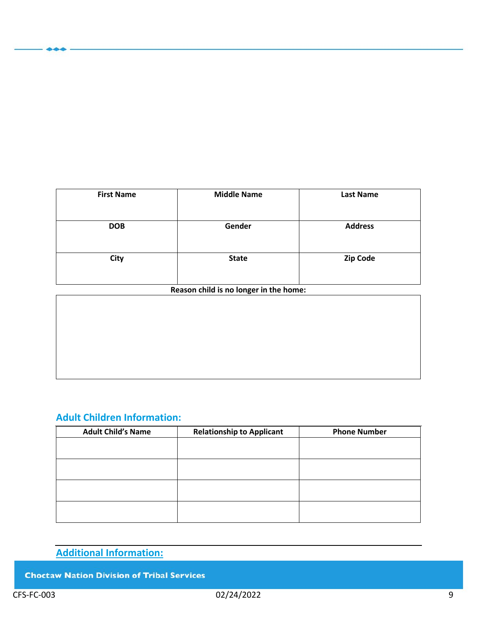| <b>First Name</b> | <b>Middle Name</b> | <b>Last Name</b> |
|-------------------|--------------------|------------------|
| <b>DOB</b>        | Gender             | <b>Address</b>   |
| City              | <b>State</b>       | Zip Code         |

#### **Reason child is no longer in the home:**

## **Adult Children Information:**

| <b>Adult Child's Name</b> | <b>Relationship to Applicant</b> | <b>Phone Number</b> |
|---------------------------|----------------------------------|---------------------|
|                           |                                  |                     |
|                           |                                  |                     |
|                           |                                  |                     |
|                           |                                  |                     |
|                           |                                  |                     |
|                           |                                  |                     |
|                           |                                  |                     |
|                           |                                  |                     |

## **Additional Information:**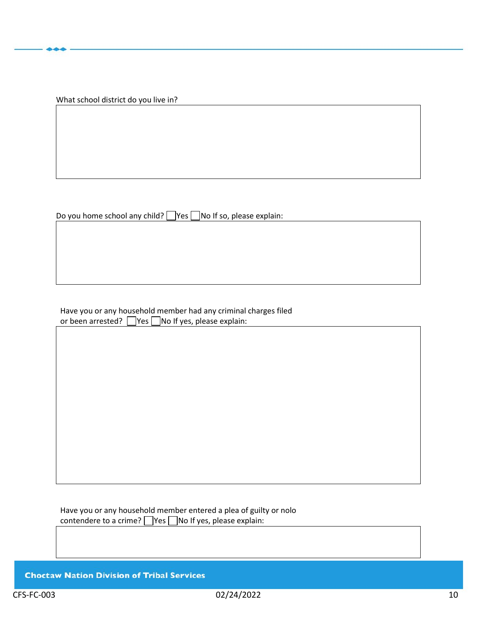What school district do you live in?

Do you home school any child?  $\Box$  Yes  $\Box$  No If so, please explain:

Have you or any household member had any criminal charges filed or been arrested?  $\Box$  Yes  $\Box$  No If yes, please explain:

Have you or any household member entered a plea of guilty or nolo contendere to a crime?  $\Box$  Yes  $\Box$  No If yes, please explain: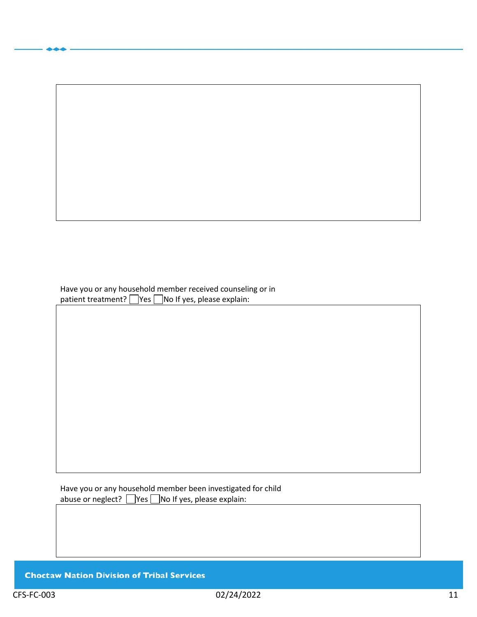Have you or any household member received counseling or in patient treatment?  $\Box$  Yes  $\Box$  No If yes, please explain:

Have you or any household member been investigated for child abuse or neglect?  $\Box$  Yes  $\Box$  No If yes, please explain: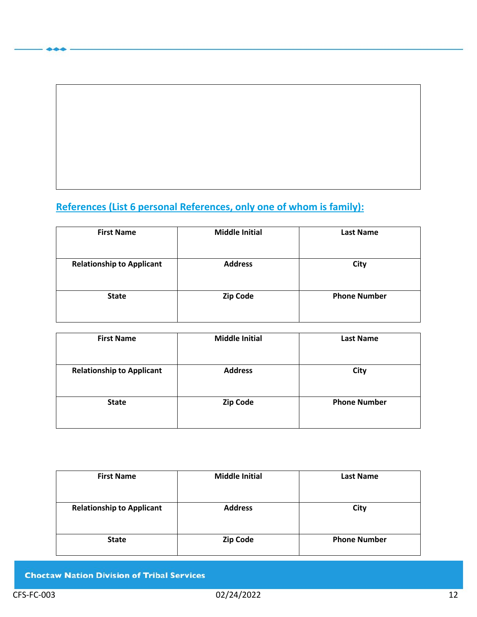# **References (List 6 personal References, only one of whom is family):**

| <b>First Name</b>                | <b>Middle Initial</b> | <b>Last Name</b>    |
|----------------------------------|-----------------------|---------------------|
| <b>Relationship to Applicant</b> | <b>Address</b>        | City                |
| <b>State</b>                     | <b>Zip Code</b>       | <b>Phone Number</b> |

| <b>First Name</b>                | <b>Middle Initial</b> | <b>Last Name</b>    |
|----------------------------------|-----------------------|---------------------|
| <b>Relationship to Applicant</b> | <b>Address</b>        | City                |
| <b>State</b>                     | <b>Zip Code</b>       | <b>Phone Number</b> |

| <b>First Name</b>                | <b>Middle Initial</b> | <b>Last Name</b>    |
|----------------------------------|-----------------------|---------------------|
| <b>Relationship to Applicant</b> | <b>Address</b>        | City                |
| <b>State</b>                     | Zip Code              | <b>Phone Number</b> |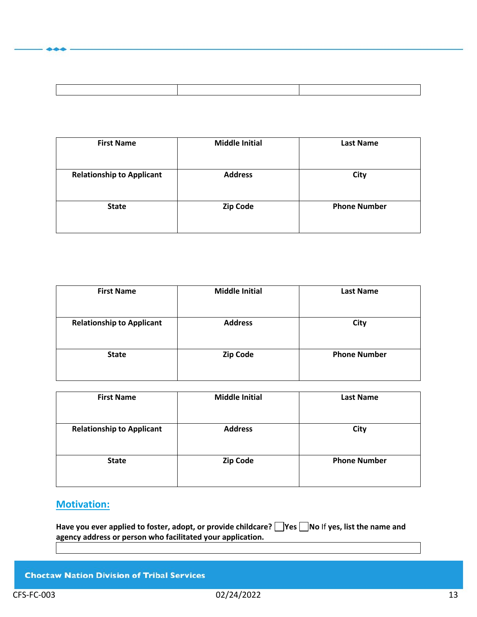| <b>First Name</b>                | <b>Middle Initial</b> | <b>Last Name</b>    |
|----------------------------------|-----------------------|---------------------|
| <b>Relationship to Applicant</b> | <b>Address</b>        | City                |
| <b>State</b>                     | <b>Zip Code</b>       | <b>Phone Number</b> |

| <b>First Name</b>                | <b>Middle Initial</b> | <b>Last Name</b>    |
|----------------------------------|-----------------------|---------------------|
|                                  |                       |                     |
| <b>Relationship to Applicant</b> | <b>Address</b>        | City                |
|                                  |                       |                     |
| <b>State</b>                     | <b>Zip Code</b>       | <b>Phone Number</b> |
|                                  |                       |                     |

| <b>First Name</b>                | <b>Middle Initial</b> | <b>Last Name</b>    |
|----------------------------------|-----------------------|---------------------|
| <b>Relationship to Applicant</b> | <b>Address</b>        | City                |
| <b>State</b>                     | <b>Zip Code</b>       | <b>Phone Number</b> |

## **Motivation:**

Have you ever applied to foster, adopt, or provide childcare? **No** If yes, list the name and **agency address or person who facilitated your application.**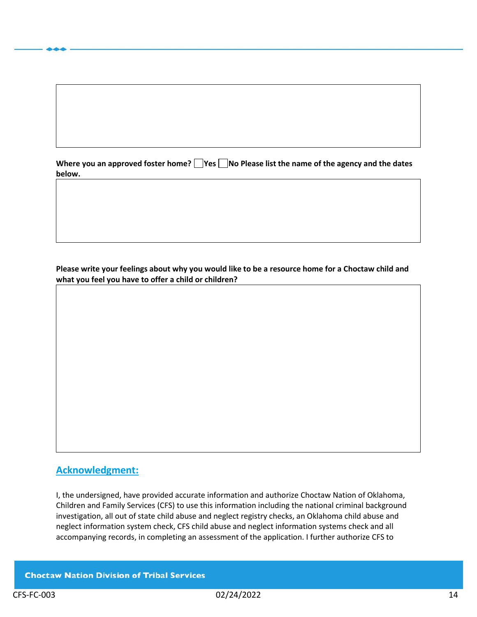|        | Where you an approved foster home? $\Box$ Yes $\Box$ No Please list the name of the agency and the dates |
|--------|----------------------------------------------------------------------------------------------------------|
| below. |                                                                                                          |

**Please write your feelings about why you would like to be a resource home for a Choctaw child and what you feel you have to offer a child or children?**

#### **Acknowledgment:**

I, the undersigned, have provided accurate information and authorize Choctaw Nation of Oklahoma, Children and Family Services (CFS) to use this information including the national criminal background investigation, all out of state child abuse and neglect registry checks, an Oklahoma child abuse and neglect information system check, CFS child abuse and neglect information systems check and all accompanying records, in completing an assessment of the application. I further authorize CFS to